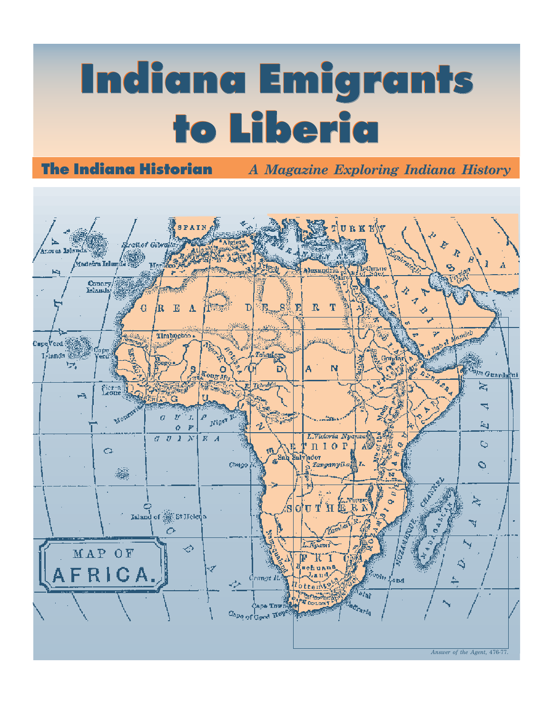# **Indiana Emigrants Indiana Emigrants to Liberia to Liberia**

**The Indiana Historian** *A Magazine Exploring Indiana History*

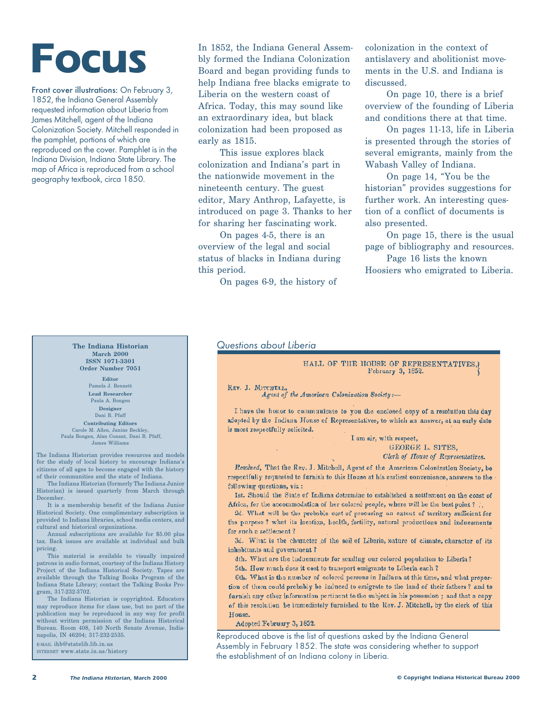## **Focus**

Front cover illustrations: On February 3, 1852, the Indiana General Assembly requested information about Liberia from James Mitchell, agent of the Indiana Colonization Society. Mitchell responded in the pamphlet, portions of which are reproduced on the cover. Pamphlet is in the Indiana Division, Indiana State Library. The map of Africa is reproduced from a school geography textbook, circa 1850.

#### **The Indiana Historian March 2000 ISSN 1071-3301 Order Number 7051**

**Editor** Pamela J. Bennett **Lead Researcher** Paula A. Bongen **Designer** Dani B. Pfaff **Contributing Editors**

Carole M. Allen, Janine Beckley, Paula Bongen, Alan Conant, Dani B. Pfaff, James Williams

The Indiana Historian provides resources and models for the study of local history to encourage Indiana's citizens of all ages to become engaged with the history of their communities and the state of Indiana.

The Indiana Historian (formerly The Indiana Junior Historian) is issued quarterly from March through December.

It is a membership benefit of the Indiana Junior Historical Society. One complimentary subscription is provided to Indiana libraries, school media centers, and cultural and historical organizations.

Annual subscriptions are available for \$5.00 plus tax. Back issues are available at individual and bulk pricing.

This material is available to visually impaired patrons in audio format, courtesy of the Indiana History Project of the Indiana Historical Society. Tapes are available through the Talking Books Program of the Indiana State Library; contact the Talking Books Program, 317-232-3702.

The Indiana Historian is copyrighted. Educators may reproduce items for class use, but no part of the publication may be reproduced in any way for profit without written permission of the Indiana Historical Bureau. Room 408, 140 North Senate Avenue, Indianapolis, IN 46204; 317-232-2535.

E-MAIL ihb@statelib.lib.in.us INTERNET www.state.in.us/history In 1852, the Indiana General Assembly formed the Indiana Colonization Board and began providing funds to help Indiana free blacks emigrate to Liberia on the western coast of Africa. Today, this may sound like an extraordinary idea, but black colonization had been proposed as early as 1815.

This issue explores black colonization and Indiana's part in the nationwide movement in the nineteenth century. The guest editor, Mary Anthrop, Lafayette, is introduced on page 3. Thanks to her for sharing her fascinating work.

On pages 4-5, there is an overview of the legal and social status of blacks in Indiana during this period.

On pages 6-9, the history of

colonization in the context of antislavery and abolitionist movements in the U.S. and Indiana is discussed.

On page 10, there is a brief overview of the founding of Liberia and conditions there at that time.

On pages 11-13, life in Liberia is presented through the stories of several emigrants, mainly from the Wabash Valley of Indiana.

On page 14, "You be the historian" provides suggestions for further work. An interesting question of a conflict of documents is also presented.

On page 15, there is the usual page of bibliography and resources.

Page 16 lists the known Hoosiers who emigrated to Liberia.

#### Questions about Liberia

HALL OF THE HOUSE OF REPRESENTATIVES. February 3, 1852.

### REV. J. MITCHELL,<br>  $A$ gent of the American Colonization Society :-

I have the honor to communicate to you the enclosed copy of a resolution this day adopted by the Indiana House of Representatives, to which an answer, at an early date is most respectfully solicited.

> I am sir, with respect, GEORGE L. SITES, Clerk of House of Representatives.

Resolved, That the Rey. J. Mitchell, Agent of the American Colonization Society, be respectfully requested to furnish to this House at his earliest convenience, answers to the following questions, viz:

1st. Should the State of Indiana dotermine to established a settlement on the coast of Africa, for the accommodation of her colored people, where will be the best point ?

2d. What will be the probable cost of procuring an extent of territory sufficient for the purpose ? what its location, health, fertility, natural productions and inducements for such a settlement?

3d. What is the character of the soil of Liberia, nature of climate, character of its inhabitants and government?

4th. What are the inducements for sending our colored population to Liberia?

5th. How much does it cost to transport emigrants to Liberia each ?

6th. What is the number of colored persons in Indiana at this time, and what proportion of them could probably be induced to emigrate to the land of their fathers? and to furnish any other information pertinent to the subject in his possession ; and that a copy of this resolution be immediately furnished to the Rey. J. Mitchell, by the clerk of this House.

Adopted February 3, 1852.

Reproduced above is the list of questions asked by the Indiana General Assembly in February 1852. The state was considering whether to support the establishment of an Indiana colony in Liberia.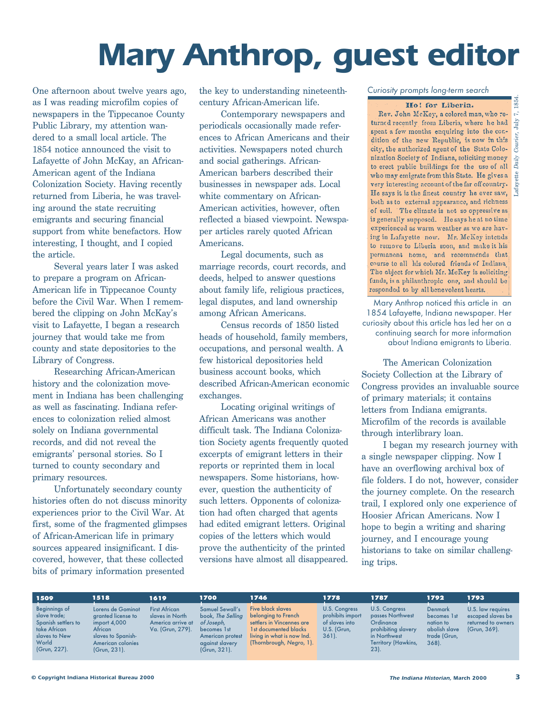### **Mary Anthrop, guest editor**

One afternoon about twelve years ago, as I was reading microfilm copies of newspapers in the Tippecanoe County Public Library, my attention wandered to a small local article. The 1854 notice announced the visit to Lafayette of John McKay, an African-American agent of the Indiana Colonization Society. Having recently returned from Liberia, he was traveling around the state recruiting emigrants and securing financial support from white benefactors. How interesting, I thought, and I copied the article.

Several years later I was asked to prepare a program on African-American life in Tippecanoe County before the Civil War. When I remembered the clipping on John McKay's visit to Lafayette, I began a research journey that would take me from county and state depositories to the Library of Congress.

Researching African-American history and the colonization movement in Indiana has been challenging as well as fascinating. Indiana references to colonization relied almost solely on Indiana governmental records, and did not reveal the emigrants' personal stories. So I turned to county secondary and primary resources.

Unfortunately secondary county histories often do not discuss minority experiences prior to the Civil War. At first, some of the fragmented glimpses of African-American life in primary sources appeared insignificant. I discovered, however, that these collected bits of primary information presented

the key to understanding nineteenthcentury African-American life.

Contemporary newspapers and periodicals occasionally made references to African Americans and their activities. Newspapers noted church and social gatherings. African-American barbers described their businesses in newspaper ads. Local white commentary on African-American activities, however, often reflected a biased viewpoint. Newspaper articles rarely quoted African Americans.

Legal documents, such as marriage records, court records, and deeds, helped to answer questions about family life, religious practices, legal disputes, and land ownership among African Americans.

Census records of 1850 listed heads of household, family members, occupations, and personal wealth. A few historical depositories held business account books, which described African-American economic exchanges.

Locating original writings of African Americans was another difficult task. The Indiana Colonization Society agents frequently quoted excerpts of emigrant letters in their reports or reprinted them in local newspapers. Some historians, however, question the authenticity of such letters. Opponents of colonization had often charged that agents had edited emigrant letters. Original copies of the letters which would prove the authenticity of the printed versions have almost all disappeared.

Curiosity prompts long-term search

#### Ho! for Liberia.

Rev. John McKey, a colored man, who returned recently from Liberia, where he had spent a few months enquiring into the conspent a few months enquiring into the condition of the new Republic, is now in this est, the authorized agent of the State Colonization Society of Indiana, soliciting money<br>to erect public buildings for the use of all  $\beta$ nization Society of Indiana, soliciting money who may emigrate from this State. He gives a  $\frac{9}{12}$ very interesting account of the far off country.<br>He says it is the finest country he ever saw, both as to external appearance, and richness of soil. The climate is not so oppressive as is generally supposed. He says he at no time experienced as warm weather as we are having in Lafayette now. Mr. McKey intends to remove to Liberia soon, and make it his permanent home, and recommends that; course to all his colored friends of Indiana The object for which Mr. McKey is soliciting funds, is a philanthropic one, and should be responded to by all benevolent hearts.

Mary Anthrop noticed this article in an 1854 Lafayette, Indiana newspaper. Her curiosity about this article has led her on a continuing search for more information about Indiana emigrants to Liberia.

The American Colonization Society Collection at the Library of Congress provides an invaluable source of primary materials; it contains letters from Indiana emigrants. Microfilm of the records is available through interlibrary loan.

I began my research journey with a single newspaper clipping. Now I have an overflowing archival box of file folders. I do not, however, consider the journey complete. On the research trail, I explored only one experience of Hoosier African Americans. Now I hope to begin a writing and sharing journey, and I encourage young historians to take on similar challenging trips.

Beginnings of slave trade; Spanish settlers to take African slaves to New **World** (Grun,␣ 227).

**1509 1518 1619 1700** Lorens de Gominot granted license to import 4,000 African slaves to Spanish-American colonies (Grun, 231).

First African slaves in North America arrive at Va. (Grun, 279). Samuel Sewall's book, The Selling of Joseph, becomes 1st American protest against slavery (Grun, 321).

Five black slaves belonging to French settlers in Vincennes are 1st documented blacks living in what is now Ind. (Thornbrough, Negro, 1).

**1746**

U.S. Congress prohibits import of slaves into U.S. (Grun, 361).

**1778**

U.S. Congress passes Northwest **Ordinance** prohibiting slavery in Northwest Territory (Hawkins, 23). Denmark becomes 1st nation to abolish slave trade (Grun, 368).

**1787 1792**

U.S. law requires escaped slaves be returned to owners (Grun, 369). **1793**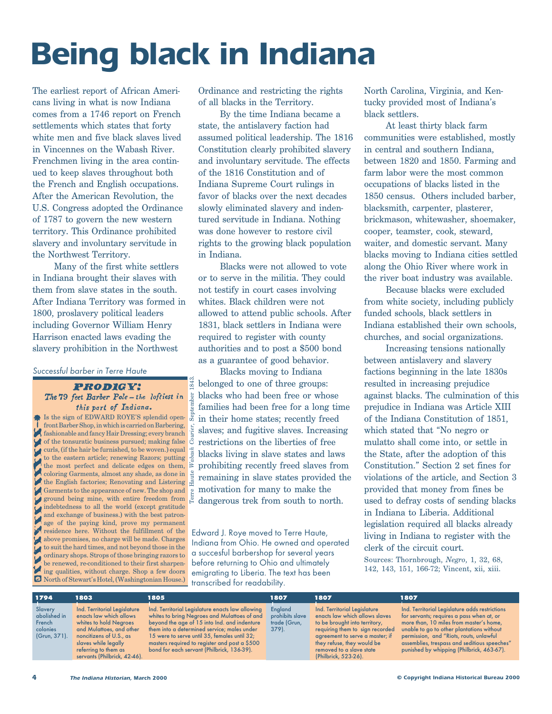## **Being black in Indiana**

The earliest report of African Americans living in what is now Indiana comes from a 1746 report on French settlements which states that forty white men and five black slaves lived in Vincennes on the Wabash River. Frenchmen living in the area continued to keep slaves throughout both the French and English occupations. After the American Revolution, the U.S. Congress adopted the Ordinance of 1787 to govern the new western territory. This Ordinance prohibited slavery and involuntary servitude in the Northwest Territory.

Many of the first white settlers in Indiana brought their slaves with them from slave states in the south. After Indiana Territory was formed in 1800, proslavery political leaders including Governor William Henry Harrison enacted laws evading the slavery prohibition in the Northwest

#### Successful barber in Terre Haute

**PRODIGY:** The 79 feet Barber Pole - the loftiest in this part of Indiana.

**Is the sign of EDWARD ROYE'S splendid open**front Barber Shop, in which is carried on Barbering, fashionable and fancy Hair Dressing; every branch of the tonsuratic business pursued; making false curls, (if the hair be furnished, to be woven.) equal to the eastern article; renewing Razors; putting the most perfect and delicate edges on them, coloring Garments, almost any shade, as done in The English factories; Renovating and Listering Garments to the appearance of new. The shop and ground being mine, with entire freedom from indebtedness to all the world (except gratitude and exchange of business.) with the best patronage of the paying kind, prove my permanent residence here. Without the fulfillment of the above promises, no charge will be made. Charges to suit the hard times, and not beyond those in the ordinary shops. Strops of those bringing razors to be renewed, re-conditioned to their first sharpening qualities, without charge. Shop a few doors North of Stewart's Hotel, (Washingtonian House.)

Terre Haute

*Wabash Courier*, September 1843.

.843

ber

Ordinance and restricting the rights of all blacks in the Territory.

By the time Indiana became a state, the antislavery faction had assumed political leadership. The 1816 Constitution clearly prohibited slavery and involuntary servitude. The effects of the 1816 Constitution and of Indiana Supreme Court rulings in favor of blacks over the next decades slowly eliminated slavery and indentured servitude in Indiana. Nothing was done however to restore civil rights to the growing black population in Indiana.

Blacks were not allowed to vote or to serve in the militia. They could not testify in court cases involving whites. Black children were not allowed to attend public schools. After 1831, black settlers in Indiana were required to register with county authorities and to post a \$500 bond as a guarantee of good behavior.

Blacks moving to Indiana belonged to one of three groups: blacks who had been free or whose families had been free for a long time in their home states; recently freed slaves; and fugitive slaves. Increasing restrictions on the liberties of free blacks living in slave states and laws prohibiting recently freed slaves from remaining in slave states provided the motivation for many to make the dangerous trek from south to north.

Edward J. Roye moved to Terre Haute, Indiana from Ohio. He owned and operated a succesful barbershop for several years before returning to Ohio and ultimately emigrating to Liberia. The text has been transcribed for readability.

North Carolina, Virginia, and Kentucky provided most of Indiana's black settlers.

At least thirty black farm communities were established, mostly in central and southern Indiana, between 1820 and 1850. Farming and farm labor were the most common occupations of blacks listed in the 1850 census. Others included barber, blacksmith, carpenter, plasterer, brickmason, whitewasher, shoemaker, cooper, teamster, cook, steward, waiter, and domestic servant. Many blacks moving to Indiana cities settled along the Ohio River where work in the river boat industry was available.

Because blacks were excluded from white society, including publicly funded schools, black settlers in Indiana established their own schools, churches, and social organizations.

Increasing tensions nationally between antislavery and slavery factions beginning in the late 1830s resulted in increasing prejudice against blacks. The culmination of this prejudice in Indiana was Article XIII of the Indiana Constitution of 1851, which stated that "No negro or mulatto shall come into, or settle in the State, after the adoption of this Constitution." Section 2 set fines for violations of the article, and Section 3 provided that money from fines be used to defray costs of sending blacks in Indiana to Liberia. Additional legislation required all blacks already living in Indiana to register with the clerk of the circuit court.

Sources: Thornbrough, *Negro*, 1, 32, 68, 142, 143, 151, 166-72; Vincent, xii, xiii.

| 1794                                                          | 1803                                                                                                                                                                                                                     | 1805                                                                                                                                                                                                                                                                                                                                           | 1807                                                  | 1807                                                                                                                                                                                                                                                    | 1807                                                                                                                                                                                                                                                                                                                        |
|---------------------------------------------------------------|--------------------------------------------------------------------------------------------------------------------------------------------------------------------------------------------------------------------------|------------------------------------------------------------------------------------------------------------------------------------------------------------------------------------------------------------------------------------------------------------------------------------------------------------------------------------------------|-------------------------------------------------------|---------------------------------------------------------------------------------------------------------------------------------------------------------------------------------------------------------------------------------------------------------|-----------------------------------------------------------------------------------------------------------------------------------------------------------------------------------------------------------------------------------------------------------------------------------------------------------------------------|
| Slavery<br>abolished in<br>French<br>colonies<br>(Grun, 371). | Ind. Territorial Leaislature<br>enacts law which allows<br>whites to hold Negroes<br>and Mulattoes, and other<br>noncitizens of U.S., as<br>slaves while legally<br>referring to them as<br>servants (Philbrick, 42-46). | Ind. Territorial Legislature enacts law allowing<br>whites to bring Negroes and Mulattoes of and<br>beyond the age of 15 into Ind. and indenture<br>them into a determined service; males under<br>15 were to serve until 35, females until 32;<br>masters required to register and post a \$500<br>bond for each servant (Philbrick, 136-39). | England<br>prohibits slave<br>trade (Grun,<br>$379$ . | Ind. Territorial Legislature<br>enacts law which allows slaves<br>to be brought into territory,<br>requiring them to sign recorded<br>agreement to serve a master; if<br>they refuse, they would be<br>removed to a slave state<br>(Philbrick, 523-26). | Ind. Territorial Legislature adds restrictions<br>for servants; requires a pass when at, or<br>more than, 10 miles from master's home,<br>unable to go to other plantations without<br>permission, and "Riots, routs, unlawful<br>assemblies, trespass and seditious speeches"<br>punished by whipping (Philbrick, 463-67). |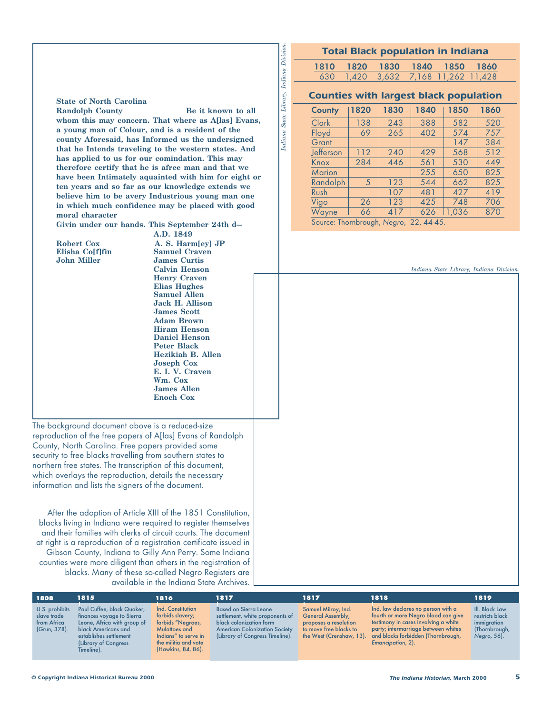#### **Total Black population in Indiana**

| Division                    |
|-----------------------------|
| Indiana                     |
| Library,                    |
| $\sqrt{s}$ State $\sqrt{s}$ |
| палапа                      |

Division

1810 1820 1830 1840 1850 1860 630 1,420 3,632 7,168 11,262 11,428

#### **Counties with largest black population**

| County        | 1820 | 1830 | 1840 | 1850  | 1860 |
|---------------|------|------|------|-------|------|
| Clark         | 138  | 243  | 388  | 582   | 520  |
| Floyd         | 69   | 265  | 402  | 574   | 757  |
| Grant         |      |      |      | 147   | 384  |
| Jefferson     | 112  | 240  | 429  | 568   | 512  |
| Knox          | 284  | 446  | 561  | 530   | 449  |
| <b>Marion</b> |      |      | 255  | 650   | 825  |
| Randolph      | 5    | 123  | 544  | 662   | 825  |
| Rush          |      | 107  | 481  | 427   | 419  |
| Vigo          | 26   | 123  | 425  | 748   | 706  |
| Wayne         | 66   | 417  | 626  | 1.036 | 870  |

Source: Thornbrough, Negro, 22, 44-45.

*Indiana State Library, Indiana Division.*

**State of North Carolina Randolph County Be it known to all** 

**whom this may concern. That where as A[las] Evans, a young man of Colour, and is a resident of the county Aforesaid, has Informed us the undersigned that he Intends traveling to the western states. And has applied to us for our comindation. This may therefore certify that he is afree man and that we have been Intimately aquainted with him for eight or ten years and so far as our knowledge extends we believe him to be avery Industrious young man one in which much confidence may be placed with good moral character**

**Givin under our hands. This September 24th d—**

**Elisha Co[f]fin**<br>**John Miller** 

**A.D. 1849 Robert Cox A. S. Harm[ey] JP**<br>Elisha Colf|fin Samuel Craven **James Curtis Calvin Henson Henry Craven Elias Hughes Samuel Allen Jack H. Allison James Scott Adam Brown Hiram Henson Daniel Henson Peter Black Hezikiah B. Allen Joseph Cox E. I. V. Craven Wm. Cox James Allen Enoch Cox**

The background document above is a reduced-size reproduction of the free papers of A[las] Evans of Randolph County, North Carolina. Free papers provided some security to free blacks travelling from southern states to northern free states. The transcription of this document, which overlays the reproduction, details the necessary information and lists the signers of the document.

After the adoption of Article XIII of the 1851 Constitution, blacks living in Indiana were required to register themselves and their families with clerks of circuit courts. The document at right is a reproduction of a registration certificate issued in Gibson County, Indiana to Gilly Ann Perry. Some Indiana counties were more diligent than others in the registration of blacks. Many of these so-called Negro Registers are available in the Indiana State Archives.

| 1808                                                         | 1815                                                                                                                                                                           | 1816                                                                                                                                              | 1817                                                                                                                                                                  | 1817                                                                                                                           | 1818                                                                                                                                                                                                                | 1819                                                                             |
|--------------------------------------------------------------|--------------------------------------------------------------------------------------------------------------------------------------------------------------------------------|---------------------------------------------------------------------------------------------------------------------------------------------------|-----------------------------------------------------------------------------------------------------------------------------------------------------------------------|--------------------------------------------------------------------------------------------------------------------------------|---------------------------------------------------------------------------------------------------------------------------------------------------------------------------------------------------------------------|----------------------------------------------------------------------------------|
| U.S. prohibits<br>slave trade<br>from Africa<br>(Grun, 378). | Paul Cuffee, black Quaker,<br>finances voyage to Sierra<br>Leone, Africa with group of<br>black Americans and<br>establishes settlement<br>(Library of Congress)<br>Timeline). | Ind. Constitution<br>forbids slavery;<br>forbids "Negroes,<br>Mulattoes and<br>Indians" to serve in<br>the militia and vote<br>(Hawkins, 84, 86). | <b>Based on Sierra Leone</b><br>settlement, white proponents of<br>black colonization form<br><b>American Colonization Society</b><br>(Library of Congress Timeline). | Samuel Milroy, Ind.<br><b>General Assembly,</b><br>proposes a resolution<br>to move free blacks to<br>the West (Crenshaw, 13). | Ind. law declares no person with a<br>fourth or more Negro blood can give<br>testimony in cases involving a white<br>party; intermarriage between whites<br>and blacks forbidden (Thornbrough,<br>Emancipation, 2). | III. Black Law<br>restricts black<br>immigration<br>(Thornbrough,<br>Negro, 56). |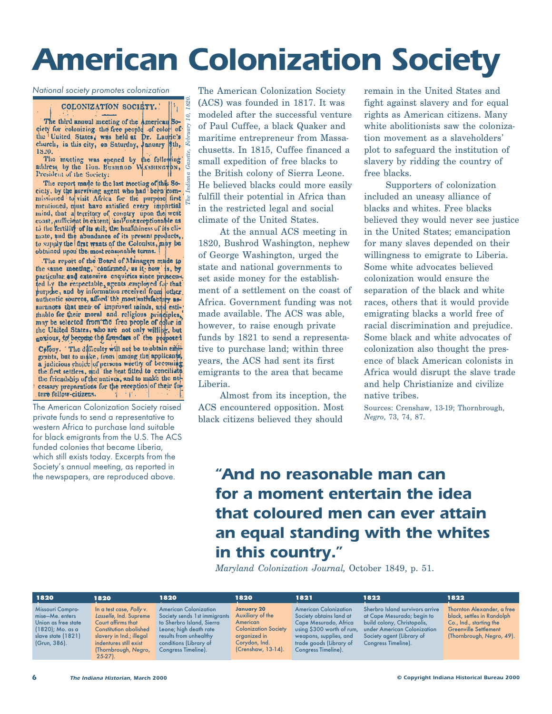### **American Colonization Society**

National society promotes colonization

COLONIZATION SOCIETY.

*The Indiana Gazette, February 10, 1820.* ίØ, The third annual meeting of the American So-The third annual inceting of the American Society for colonizing the free people of color of the lumic's states, was held at Dr. Lauric's clurch. in this city, on Saturday, January 8th. church, in this city, on Saturday, January \$th, 1820.

The meeting was epened by the following address by the Hon. Businaon WASHINGTON,

The report made to the last meeting of this Society, by the surviving agent who had been com-<br>missioned to visit. Africa for the purpose first  $\stackrel{1}{\sim}$ mentioned, must have antisfied every impartial<br>mind, that a territory of country upon the west<br>coast, sufficient in extent, and unexceptionable as to the fertility of its soil; the healthiness of its climate, and the abundance of its present products,. to supply the first wants of the Colonists, may be obtained upon the most reasonable terms.

The report of the Board of Managers made to the same meeting, confirmed, as it, now is, by particular and extensive enquiries since prosecu-. fed by the respectable, agents employed for that authentic sources, afford the most satisfactory assurances that men of improved minds, and estimable for their moral and religious principles, may be selected from the free people of color in the United States, who are not only willing, but anxious, to become the founders of the proposed Colony. The difficulty will not be to obtain emitgrants, but to make, from among the applicants, a judicious choice of persons worthy of becoming the friendship of the natives, and to make the necessary preparations for the reception of their future fellow-citizens. ' i'

The American Colonization Society raised private funds to send a representative to western Africa to purchase land suitable for black emigrants from the U.S. The ACS funded colonies that became Liberia, which still exists today. Excerpts from the Society's annual meeting, as reported in the newspapers, are reproduced above.

The American Colonization Society (ACS) was founded in 1817. It was modeled after the successful venture of Paul Cuffee, a black Quaker and maritime entrepreneur from Massachusetts. In 1815, Cuffee financed a small expedition of free blacks to the British colony of Sierra Leone. He believed blacks could more easily fulfill their potential in Africa than in the restricted legal and social climate of the United States.

At the annual ACS meeting in 1820, Bushrod Washington, nephew of George Washington, urged the state and national governments to set aside money for the establishment of a settlement on the coast of Africa. Government funding was not made available. The ACS was able, however, to raise enough private funds by 1821 to send a representative to purchase land; within three years, the ACS had sent its first emigrants to the area that became Liberia.

Almost from its inception, the ACS encountered opposition. Most black citizens believed they should

remain in the United States and fight against slavery and for equal rights as American citizens. Many white abolitionists saw the colonization movement as a slaveholders' plot to safeguard the institution of slavery by ridding the country of free blacks.

Supporters of colonization included an uneasy alliance of blacks and whites. Free blacks believed they would never see justice in the United States; emancipation for many slaves depended on their willingness to emigrate to Liberia. Some white advocates believed colonization would ensure the separation of the black and white races, others that it would provide emigrating blacks a world free of racial discrimination and prejudice. Some black and white advocates of colonization also thought the presence of black American colonists in Africa would disrupt the slave trade and help Christianize and civilize native tribes.

Sources: Crenshaw, 13-19; Thornbrough, *Negro*, 73, 74, 87.

### **"And no reasonable man can for a moment entertain the idea that coloured men can ever attain an equal standing with the whites in this country."**

*Maryland Colonization Journal,* October 1849, p. 51.

| 1820                                                                                                                        | 1820                                                                                                                                                                                                  | 1820                                                                                                                                                                                           | 1820                                                                                                                                    | 1821                                                                                                                                                                                      | 1822                                                                                                                                                                            | 1822                                                                                                                                             |
|-----------------------------------------------------------------------------------------------------------------------------|-------------------------------------------------------------------------------------------------------------------------------------------------------------------------------------------------------|------------------------------------------------------------------------------------------------------------------------------------------------------------------------------------------------|-----------------------------------------------------------------------------------------------------------------------------------------|-------------------------------------------------------------------------------------------------------------------------------------------------------------------------------------------|---------------------------------------------------------------------------------------------------------------------------------------------------------------------------------|--------------------------------------------------------------------------------------------------------------------------------------------------|
| <b>Missouri Compro-</b><br>mise-Me, enters<br>Union as free state<br>(1820); Mo. as a<br>slave state (1821)<br>(Grun, 386). | In a test case, Polly v.<br>Lasselle, Ind. Supreme<br>Court affirms that<br><b>Constitution abolished</b><br>slavery in Ind.; illegal<br>indentures still exist<br>(Thornbrough, Negro,<br>$25-27$ ). | <b>American Colonization</b><br>Society sends 1st immigrants<br>to Sherbro Island, Sierra<br>Leone; high death rate<br>results from unhealthy<br>conditions (Library of<br>Congress Timeline). | <b>January 20</b><br>Auxiliary of the<br>American<br><b>Colonization Society</b><br>organized in<br>Corydon, Ind.<br>(Crenshaw, 13-14). | <b>American Colonization</b><br>Society obtains land at<br>Cape Mesurado, Africa<br>using \$300 worth of rum,<br>weapons, supplies, and<br>trade goods (Library of<br>Congress Timeline). | Sherbro Island survivors arrive<br>at Cape Mesurado; begin to<br>build colony, Christopolis,<br>under American Colonization<br>Society agent (Library of<br>Congress Timeline). | Thornton Alexander, a free<br>black, settles in Randolph<br>Co., Ind., starting the<br><b>Greenville Settlement</b><br>(Thornbrough, Negro, 49). |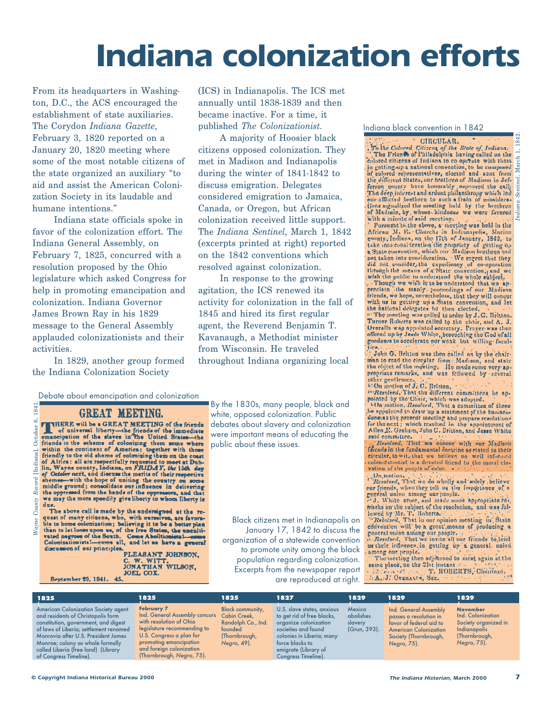### **Indiana colonization efforts**

From its headquarters in Washington, D.C., the ACS encouraged the establishment of state auxiliaries. The Corydon *Indiana Gazette*, February 3, 1820 reported on a January 20, 1820 meeting where some of the most notable citizens of the state organized an auxiliary "to aid and assist the American Colonization Society in its laudable and humane intentions."

Indiana state officials spoke in favor of the colonization effort. The Indiana General Assembly, on February 7, 1825, concurred with a resolution proposed by the Ohio legislature which asked Congress for help in promoting emancipation and colonization. Indiana Governor James Brown Ray in his 1829 message to the General Assembly applauded colonizationists and their activities.

In 1829, another group formed the Indiana Colonization Society

184

Wayne

(ICS) in Indianapolis. The ICS met annually until 1838-1839 and then became inactive. For a time, it published *The Colonizationist*.

A majority of Hoosier black citizens opposed colonization. They met in Madison and Indianapolis during the winter of 1841-1842 to discuss emigration. Delegates considered emigration to Jamaica, Canada, or Oregon, but African colonization received little support. The *Indiana Sentinel*, March 1, 1842 (excerpts printed at right) reported on the 1842 conventions which resolved against colonization.

In response to the growing agitation, the ICS renewed its activity for colonization in the fall of 1845 and hired its first regular agent, the Reverend Benjamin T. Kavanaugh, a Methodist minister from Wisconsin. He traveled throughout Indiana organizing local

Debate about emancipation and colonization

#### GREAT MEETING.

*Wayne County Record* [Indiana], October 6, 1841. UREAL MELLING of the friends ക് INERE will be a GREAT MEETING of the friends<br>
of the interdee of the inmediate<br>
of universal liberty—the friends of the inmediate<br>
friends to the scheme of colonizing them some where<br>
within the continent of America; toget October ( na], [India] shemes-with the hope of uniting the country on some shemes-with the hope of uniting the country on some middle ground; consolidate our influence in delivering the oppressed from the hands of the oppresseors, and that we ma Record County due.

The above call is made by the undersigned at the request of many citizens, who, with ourselves, are favora-<br>ble to home colonization; believing it to be a better plan than to let loose upon us, of the free States, the uncultivated negroes of the South. Come Abolitionists !- come Colonizationists!--- come all, and let us have a general discussion of our principles.

PLEASANT JOHNSON, C. W. WITT, JONATHAN WILSON, JOEL COX. September 29, 1841. 45.

By the 1830s, many people, black and white, opposed colonization. Public debates about slavery and colonization were important means of educating the public about these issues.

Black citizens met in Indianapolis on January 17, 1842 to discuss the organization of a statewide convention to promote unity among the black population regarding colonization. Excerpts from the newspaper report are reproduced at right.

#### Indiana black convention in 1842

CIRCULAR. To the Colored, Citizens of the State of Indiana. colored citizens of Indiana to co operate with them in gotting-up a national convention, to be composed of golored representatives, closeted and sent from the different States, our brothren of Madison in Jefferson county have henorably esponsed the call. The deep interest and ardent philanthropy which led ede afflicted brethren to such a frain of considerations argualized the meeting held by the brethren of Madrson, by, whose kindness we were favored with a ministrophene with a

Parsumit to the above, a meeting was held in the African M. E. Church, in Indianapolis, Marion<br>county, Indiana, on the 17th of January, 1842, to<br>take into consideration the propriety of getting up external convention, which our Madjoin brethron had not taken into consideration, ... We regret that they did not taken into consideration, ... We regret that they did not, taken into consideration, ... We regret that they

preciate like manly proceedings of our Madison<br>riends, we hope, nevertheless, that they will concur<br>riends, we hope, nevertheless, that they will concur<br>with us in getting up a State convention, and let the national delogates be then clocted. Deveralls was calculated to the enarr, and A. J.<br>Overalls was papplined accretary. Travers then<br>coffered up by Jesse White, beseeching the God of all<br>goodness to accelerate our weak but willing-faced

John G. Britton was then called on by the chairman to read the circular from Madison, and state the object of the mediate, He made some very appropriate remarks, and was followed by reveral other gentlemen. (2002) and 12 On motion of J2 O. Britton,

m Resolved, That the different committees be ap-

pointed by the Chair, which was adopted.<br>Chair, which was adopted.<br>Chained by the Chair, which was adopted. donesse the present meeting and propare resolutions for the next; which resulted in the appointment of Allen E. Graham, John G. Britton, and Jesse White

said committee. circular, to wit, that we helieve no well informed colonizationist is a devoted friend to the moral clevation of the people of color.

On motion, That we do wholly and solely believe our friends, when they tell us the importance of a our jettends, when they tell us the mapple.<br>
gradient union among our people.<br>  $\pi/3$ , White arese, and made some appropriate rest<br>
marks on the subject of the resolution, and was followed by Mr. T. Roberts.<br>
[cowdd by Mr.

general union among our people. Lencral union among our people.

among our people. The meeting then adjourned to meet again at the saine place, on the 21st instant 2.1 12 Marchant 2.1 12 Marchant 2.1 12 Marchant 2.1 12 Marchant 2.1 12 Marchant 2.1 12 Marchant 2.1 12 Marchant 2.1 12 Marchant 2.1 12 Marchant 2.1 12 Marchant 2.1 12 Marchant 2.1 12 Marcha

| 1825                                                                                                                                                                                                                                                                                                           | 1825                                                                                                                                                                                                                        | 1825                                                                                                     | 1827                                                                                                                                                                                                    | 1829                                                  | 1829                                                                                                                                               | 1829                                                                                                         |
|----------------------------------------------------------------------------------------------------------------------------------------------------------------------------------------------------------------------------------------------------------------------------------------------------------------|-----------------------------------------------------------------------------------------------------------------------------------------------------------------------------------------------------------------------------|----------------------------------------------------------------------------------------------------------|---------------------------------------------------------------------------------------------------------------------------------------------------------------------------------------------------------|-------------------------------------------------------|----------------------------------------------------------------------------------------------------------------------------------------------------|--------------------------------------------------------------------------------------------------------------|
| <b>American Colonization Society agent</b><br>and residents of Christopolis form<br>constitution, government, and digest<br>of laws of Liberia; settlement renamed<br>Monrovia after U.S. President James<br>Monroe; colony as whole formally<br>called Liberia (free land) (Library<br>of Congress Timeline). | <b>February 7</b><br>Ind. General Assembly concurs<br>with resolution of Ohio<br>legislature recommending to<br>U.S. Congress a plan for<br>promoting emancipation<br>and foreign colonization<br>(Thornbrough, Negro, 75). | <b>Black community,</b><br>Cabin Creek.<br>Randolph Co., Ind.<br>founded<br>(Thornbrough,<br>Negro, 49). | U.S. slave states, anxious<br>to get rid of free blacks,<br>organize colonization<br>societies and found<br>colonies in Liberia; many<br>force blacks to<br>emigrate (Library of<br>Congress Timeline). | <b>Mexico</b><br>abolishes<br>slavery<br>(Grun, 393). | Ind. General Assembly<br>passes a resolution in<br>favor of federal aid to<br><b>American Colonization</b><br>Society (Thornbrough,<br>Negro, 75). | <b>November</b><br>Ind. Colonization<br>Society organized in<br>Indianapolis<br>(Thornbrough,<br>Negro, 75). |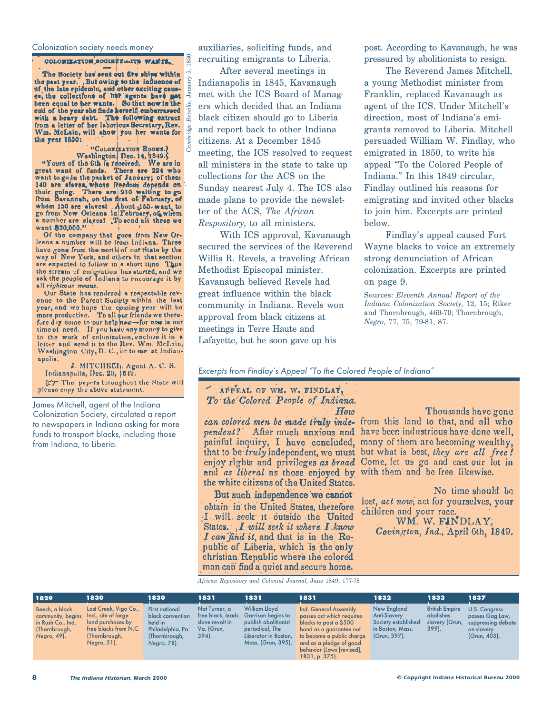#### Colonization society needs money

#### COLOMIZATION SOCIETY -- ITS WANTS.

The Society has sent out five ships within the past year. But owing to the influence of<br>of the late epidemic, and other exciting causes,<br>the collections of her "agents have not<br>been equal to her wants. So that now in the end of the year she finds herself embarrassed<br>with a heavy debt. The following extract and<br>from a letter of her laborious Secretary, Rev. Wm. McLain, will show you her wants for the year 1850:

#### "COLONIZATION ROOMS.

*Cambridge Reveille*, January 5, 1850.

"COLONIZATION HOOMS."<br>Washington Dec. 14, 1849. ("Yours of the fith fields" We are in<br>great want of funds. There are 224 who<br>want to go in the packet of January; of them<br>140 are slaves, whose freedom depends on<br>their going whom 150 are slavest About 150, want to<br>go from New Orleans in February, of whom a number are slaves! To send all these we want 830,000."

Of the company that goes from New Orleans a number will be from Indiana. Three have gone from the north of out State by the way of New York, and others in that section are expected to follow in a short time Thus the stream of emigration has started, and we<br>ask the people of Indiana to encourage it by all righteous means.

Our State has rendered a respectable revenue to the Parent Suciety within the lest year, and we hope the coming year will be more productive. To all our friends we therefore day come to our help new-for now is our time of need. If you have any money to give to the work of colonization, enclose it in a letter and send it to the Rev. Wm. McLain, Washington City, D. C., or to me at Indianapolis.

J. MITCHELL, Agont A. C. S. Indianapolis, Dec. 20, 1849. 027 The papers throughout the State will please copy the above statement.

James Mitchell, agent of the Indiana Colonization Society, circulated a report to newspapers in Indiana asking for more funds to transport blacks, including those from Indiana, to Liberia.

auxiliaries, soliciting funds, and recruiting emigrants to Liberia.

After several meetings in Indianapolis in 1845, Kavanaugh met with the ICS Board of Managers which decided that an Indiana black citizen should go to Liberia and report back to other Indiana citizens. At a December 1845 meeting, the ICS resolved to request all ministers in the state to take up collections for the ACS on the Sunday nearest July 4. The ICS also made plans to provide the newsletter of the ACS, *The African Respository*, to all ministers.

With ICS approval, Kavanaugh secured the services of the Reverend Willis R. Revels, a traveling African Methodist Episcopal minister. Kavanaugh believed Revels had great influence within the black community in Indiana. Revels won approval from black citizens at meetings in Terre Haute and Lafayette, but he soon gave up his

post. According to Kavanaugh, he was pressured by abolitionists to resign.

The Reverend James Mitchell, a young Methodist minister from Franklin, replaced Kavanaugh as agent of the ICS. Under Mitchell's direction, most of Indiana's emigrants removed to Liberia. Mitchell persuaded William W. Findlay, who emigrated in 1850, to write his appeal "To the Colored People of Indiana." In this 1849 circular, Findlay outlined his reasons for emigrating and invited other blacks to join him. Excerpts are printed below.

Findlay's appeal caused Fort Wayne blacks to voice an extremely strong denunciation of African colonization. Excerpts are printed on page 9.

Sources: *Eleventh Annual Report of the Indiana Colonization Society*, 12, 15; Riker and Thornbrough, 469-70; Thornbrough, *Negro*, 77, 75, 79-81, 87.

Excerpts from Findlay's Appeal "To the Colored People of Indiana"

#### APPEAL OF WM. W. FINDLAY, To the Colored People of Indiana.  $How$

the white citizens of the United States.

But such independence we cannot obtain in the United States, therefore I will seek it outside the United States. I will seek it where I know I can find it, and that is in the Republic of Liberia, which is the only christian Republic where the colored man can find a quiet and secure home.

Thousands have gone can colored men be made truly inde- from this land to that, and all who pendent? After much anxious and have been industrious have done well, painful inquiry, I have concluded, many of them are becoming wealthy, that to be *truly* independent, we must but what is best, they are all free! enjoy rights and privileges as broad Come, let us go and cast our lot in and as liberal as those enjoyed by with them and be free likewise.

> No time should be lost, act now, act for yourselves, your children and your race.

WM. W. FINDLAY, Covington, Ind., April 6th, 1849.

*African Repository and Colonial Journal*, June 1849, 177-78

| 1829                                                                                                         | 1830                                                                                                | 1830                                                                                                      | 1831                                                       | 1831                                                                                                                                                  | 1831                                                                                                                                                                                                          | 1832                                                                                          | 1833                                                            | 1837                                                                                 |
|--------------------------------------------------------------------------------------------------------------|-----------------------------------------------------------------------------------------------------|-----------------------------------------------------------------------------------------------------------|------------------------------------------------------------|-------------------------------------------------------------------------------------------------------------------------------------------------------|---------------------------------------------------------------------------------------------------------------------------------------------------------------------------------------------------------------|-----------------------------------------------------------------------------------------------|-----------------------------------------------------------------|--------------------------------------------------------------------------------------|
| Beech, a black<br>community, begins Ind., site of large<br>in Rush Co., Ind.<br>(Thornbrough,<br>Negro, 49). | Lost Creek, Vigo Co.,<br>land purchases by<br>free blacks from N.C.<br>(Thornbrough,<br>Negro, 51). | <b>First national</b><br>black convention<br>held in<br>Philadelphia, Pa.<br>(Thornbrough,<br>Negro, 78). | Nat Turner, a<br>slave revolt in<br>Va. (Grun,<br>$394$ ). | <b>William Lloyd</b><br>free black, leads Garrison begins to<br>publish abolitionist<br>periodical, The<br>Liberator in Boston,<br>Mass. (Grun, 395). | Ind. General Assembly<br>passes act which requires<br>blacks to post a \$500<br>bond as a guarantee not<br>to become a public charge<br>and as a pledge of good<br>behavior (Laws [revised],<br>1831. p. 375. | New England<br><b>Anti-Slavery</b><br>Society established<br>in Boston, Mass.<br>(Grun, 397). | <b>British Empire</b><br>abolishes<br>slavery (Grun,<br>$399$ . | U.S. Congress<br>passes Gag Law,<br>suppressing debate<br>on slavery<br>(Grun, 403). |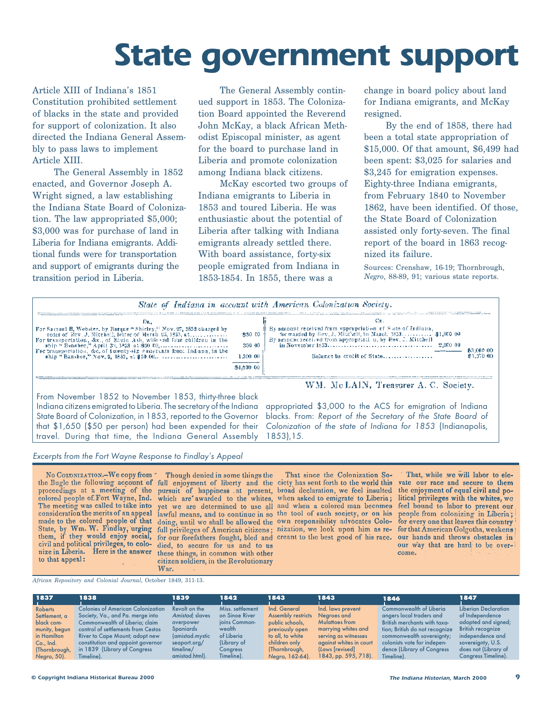### **State government support**

Article XIII of Indiana's 1851 Constitution prohibited settlement of blacks in the state and provided for support of colonization. It also directed the Indiana General Assembly to pass laws to implement Article XIII.

The General Assembly in 1852 enacted, and Governor Joseph A. Wright signed, a law establishing the Indiana State Board of Colonization. The law appropriated \$5,000; \$3,000 was for purchase of land in Liberia for Indiana emigrants. Additional funds were for transportation and support of emigrants during the transition period in Liberia.

The General Assembly continued support in 1853. The Colonization Board appointed the Reverend John McKay, a black African Methodist Episcopal minister, as agent for the board to purchase land in Liberia and promote colonization among Indiana black citizens.

McKay escorted two groups of Indiana emigrants to Liberia in 1853 and toured Liberia. He was enthusiastic about the potential of Liberia after talking with Indiana emigrants already settled there. With board assistance, forty-six people emigrated from Indiana in 1853-1854. In 1855, there was a

change in board policy about land for Indiana emigrants, and McKay resigned.

By the end of 1858, there had been a total state appropriation of \$15,000. Of that amount, \$6,499 had been spent: \$3,025 for salaries and \$3,245 for emigration expenses. Eighty-three Indiana emigrants, from February 1840 to November 1862, have been identified. Of those, the State Board of Colonization assisted only forty-seven. The final report of the board in 1863 recognized its failure.

Sources: Crenshaw, 16-19; Thornbrough, *Negro*, 88-89, 91; various state reports.



1853),15.

From November 1852 to November 1853, thirty-three black Indiana citizens emigrated to Liberia. The secretary of the Indiana State Board of Colonization, in 1853, reported to the Governor that \$1,650 (\$50 per person) had been expended for their travel. During that time, the Indiana General Assembly

War.



No COLONIZATION.-We copy from the Bugle the following account of full enjoyment of liberty and the cicty has sent forth to the world this proceedings at a meeting of the colored people of Fort Wayne, Ind. The meeting was called to take into consideration the merits of an appeal made to the colored people of that State, by Wm. W. Findlay, urging<br>them, if they would enjoy social, civil and political privileges, to colonize in Liberia. Here is the answer to that appeal:

Though denied in some things the pursuit of happiness at present, broad declaration, we feel insulted which are awarded to the whites, yet we are determined to use all and when a colored man becomes lawful means, and to continue in so the tool of such society, or on his doing, until we shall be allowed the own responsibility advocates Colofull privileges of American citizens; nization, we look upon him as refor our forefathers fought, bled and creant to the best good of his race. died, to secure for us and to us these things, in common with other citizen soldiers, in the Revolutionary

That since the Colonization Sowhen asked to emigrate to Liberia;

appropriated \$3,000 to the ACS for emigration of Indiana blacks. From: Report of the Secretary of the State Board of Colonization of the state of Indiana for 1853 (Indianapolis,

> That, while we will labor to elcvate our race and secure to them the enjoyment of equal civil and political privileges with the whites, we feel bound to labor to prevent our people from colonizing in Liberia;<br>for every one that leaves this country for that American Golgotha, weakens our hands and throws obstacles in our way that are hard to be overcome.

*African Repository and Colonial Journal*, October 1849, 311-13.

| 1837<br>l 1    | 1838                                     | 1839            | 1842             | 1843                      | 1843                    | 1846                           | 1847                     |
|----------------|------------------------------------------|-----------------|------------------|---------------------------|-------------------------|--------------------------------|--------------------------|
| <b>Roberts</b> | <b>Colonies of American Colonization</b> | Revolt on the   | Miss. settlement | Ind. General              | Ind. laws prevent       | <b>Commonwealth of Liberia</b> | Liberian Declaration     |
| Settlement, a  | Society, Va., and Pa. merge into         | Amistad; slaves | on Sinoe River   | <b>Assembly restricts</b> | Nearoes and             | angers local traders and       | of Independence          |
| black com-     | Commonwealth of Liberia; claim           | overpower       | joins Common-    | public schools,           | Mulattoes from          | British merchants with taxa-   | adopted and signed;      |
| munity, begun  | control of settlements from Cestos       | Spaniards       | wealth           | previously open           | marrying whites and     | tion; British do not recognize | <b>British recognize</b> |
| in Hamilton    | River to Cape Mount; adopt new           | (amistad.mystic | of Liberia       | to all, to white          | serving as witnesses    | commonwealth sovereignty;      | independence and         |
| Co., Ind.      | constitution and appoint governor        | seaport.org/    | (Library of      | children only             | against whites in court | colonists vote for indepen-    | sovereignty, U.S.        |
| (Thornbrough,  | in 1839 (Library of Congress             | timeline/       | Congress         | (Thornbrough,             | (Laws [revised]         | dence (Library of Congress     | does not (Library of     |
| Negro, 50).    | Timeline).                               | amistad.html).  | Timeline).       | Negro, 162-64).           | $1843$ , pp. 595, 718). | Timeline).                     | Congress Timeline).      |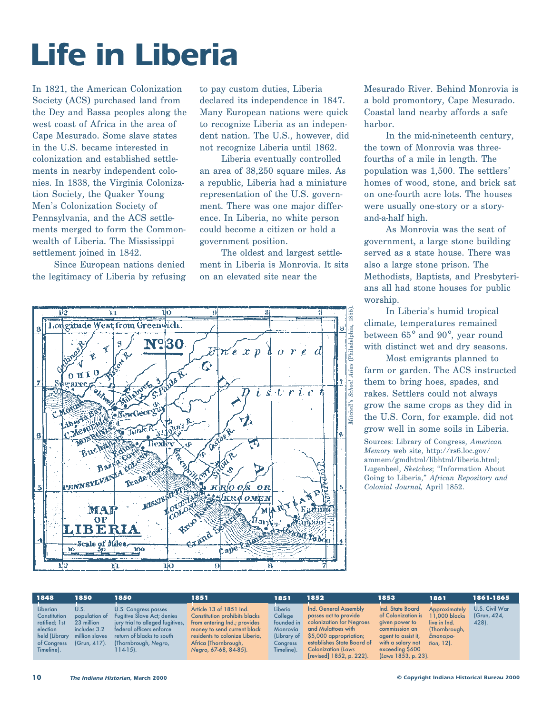### **Life in Liberia**

In 1821, the American Colonization Society (ACS) purchased land from the Dey and Bassa peoples along the west coast of Africa in the area of Cape Mesurado. Some slave states in the U.S. became interested in colonization and established settlements in nearby independent colonies. In 1838, the Virginia Colonization Society, the Quaker Young Men's Colonization Society of Pennsylvania, and the ACS settlements merged to form the Commonwealth of Liberia. The Mississippi settlement joined in 1842.

Since European nations denied the legitimacy of Liberia by refusing to pay custom duties, Liberia declared its independence in 1847. Many European nations were quick to recognize Liberia as an independent nation. The U.S., however, did not recognize Liberia until 1862.

Liberia eventually controlled an area of 38,250 square miles. As a republic, Liberia had a miniature representation of the U.S. government. There was one major difference. In Liberia, no white person could become a citizen or hold a government position.

The oldest and largest settlement in Liberia is Monrovia. It sits on an elevated site near the



Mesurado River. Behind Monrovia is a bold promontory, Cape Mesurado. Coastal land nearby affords a safe harbor.

In the mid-nineteenth century, the town of Monrovia was threefourths of a mile in length. The population was 1,500. The settlers' homes of wood, stone, and brick sat on one-fourth acre lots. The houses were usually one-story or a storyand-a-half high.

As Monrovia was the seat of government, a large stone building served as a state house. There was also a large stone prison. The Methodists, Baptists, and Presbyterians all had stone houses for public worship.

In Liberia's humid tropical climate, temperatures remained between 65° and 90°, year round with distinct wet and dry seasons.

Most emigrants planned to farm or garden. The ACS instructed them to bring hoes, spades, and rakes. Settlers could not always grow the same crops as they did in the U.S. Corn, for example. did not grow well in some soils in Liberia.

Sources: Library of Congress, *American Memory* web site, http://rs6.loc.gov/ ammem/gmdhtml/libhtml/liberia.html; Lugenbeel, *Sketches*; "Information About Going to Liberia," *African Repository and Colonial Journal,* April 1852.

| 1848                                                                                                | 1850                                                                                     | 1850                                                                                                                                                                                       | 1851                                                                                                                                                                                                              | 1851                                                                                         | 1852                                                                                                                                                                                                               | 1853                                                                                                                                                             | 1861                                                                                          | 1861-1865                              |
|-----------------------------------------------------------------------------------------------------|------------------------------------------------------------------------------------------|--------------------------------------------------------------------------------------------------------------------------------------------------------------------------------------------|-------------------------------------------------------------------------------------------------------------------------------------------------------------------------------------------------------------------|----------------------------------------------------------------------------------------------|--------------------------------------------------------------------------------------------------------------------------------------------------------------------------------------------------------------------|------------------------------------------------------------------------------------------------------------------------------------------------------------------|-----------------------------------------------------------------------------------------------|----------------------------------------|
| Liberian<br>Constitution<br>ratified; 1st<br>election<br>held (Library<br>of Congress<br>Timeline). | U.S.<br>population of<br>23 million<br>includes 3.2<br>million slaves<br>$(Grun, 417)$ . | U.S. Congress passes<br><b>Fugitive Slave Act; denies</b><br>jury trial to alleged fugitives,<br>federal officers enforce<br>return of blacks to south<br>(Thornbrough, Negro,<br>114-15). | Article 13 of 1851 Ind.<br><b>Constitution prohibits blacks</b><br>from entering Ind.; provides<br>money to send current black<br>residents to colonize Liberia.<br>Africa (Thornbrough,<br>Negro, 67-68, 84-85). | Liberia<br>College<br>founded in<br><b>Monrovia</b><br>(Library of<br>Congress<br>Timeline). | Ind. General Assembly<br>passes act to provide<br>colonization for Negroes<br>and Mulattoes with<br>$$5,000$ appropriation;<br>establishes State Board of<br><b>Colonization (Laws</b><br>[revised] 1852, p. 222). | Ind. State Board<br>of Colonization is<br>given power to<br>commisssion an<br>agent to assist it,<br>with a salary not<br>exceeding \$600<br>(Laws 1853, p. 23). | Approximately<br>11,000 blacks<br>live in Ind.<br>(Thornbrough,<br>Emancipa-<br>fion. $12$ ). | U.S. Civil War<br>(Grun, 424,<br>428). |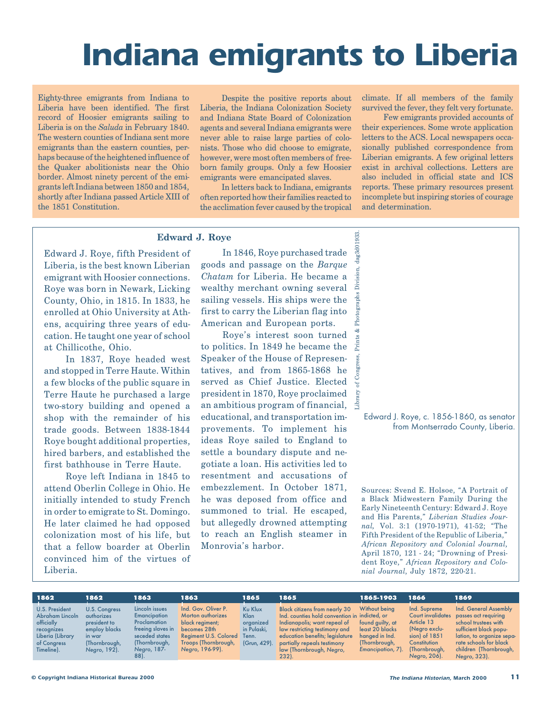### **Indiana emigrants to Liberia**

Eighty-three emigrants from Indiana to Liberia have been identified. The first record of Hoosier emigrants sailing to Liberia is on the *Saluda* in February 1840. The western counties of Indiana sent more emigrants than the eastern counties, perhaps because of the heightened influence of the Quaker abolitionists near the Ohio border. Almost ninety percent of the emigrants left Indiana between 1850 and 1854, shortly after Indiana passed Article XIII of the 1851 Constitution.

Despite the positive reports about Liberia, the Indiana Colonization Society and Indiana State Board of Colonization agents and several Indiana emigrants were never able to raise large parties of colonists. Those who did choose to emigrate, however, were most often members of freeborn family groups. Only a few Hoosier emigrants were emancipated slaves.

In letters back to Indiana, emigrants often reported how their families reacted to the acclimation fever caused by the tropical

climate. If all members of the family survived the fever, they felt very fortunate.

Few emigrants provided accounts of their experiences. Some wrote application letters to the ACS. Local newspapers occasionally published correspondence from Liberian emigrants. A few original letters exist in archival collections. Letters are also included in official state and ICS reports. These primary resources present incomplete but inspiring stories of courage and determination.

#### **Edward J. Roye**

Edward J. Roye, fifth President of Liberia, is the best known Liberian emigrant with Hoosier connections. Roye was born in Newark, Licking County, Ohio, in 1815. In 1833, he enrolled at Ohio University at Athens, acquiring three years of education. He taught one year of school at Chillicothe, Ohio.

In 1837, Roye headed west and stopped in Terre Haute. Within a few blocks of the public square in Terre Haute he purchased a large two-story building and opened a shop with the remainder of his trade goods. Between 1838-1844 Roye bought additional properties, hired barbers, and established the first bathhouse in Terre Haute.

Roye left Indiana in 1845 to attend Oberlin College in Ohio. He initially intended to study French in order to emigrate to St. Domingo. He later claimed he had opposed colonization most of his life, but that a fellow boarder at Oberlin convinced him of the virtues of Liberia.

In 1846, Roye purchased trade goods and passage on the *Barque Chatam* for Liberia. He became a wealthy merchant owning several sailing vessels. His ships were the first to carry the Liberian flag into American and European ports.

Library of Congress, Prints & Photographs Division, dag3d01933.

Prints & 1

Congr  $\circ$ f C Yл

Photographs

933.

Division,

Roye's interest soon turned to politics. In 1849 he became the Speaker of the House of Representatives, and from 1865-1868 he served as Chief Justice. Elected president in 1870, Roye proclaimed an ambitious program of financial, educational, and transportation improvements. To implement his ideas Roye sailed to England to settle a boundary dispute and negotiate a loan. His activities led to resentment and accusations of embezzlement. In October 1871, he was deposed from office and summoned to trial. He escaped, but allegedly drowned attempting to reach an English steamer in Monrovia's harbor.

Edward J. Roye, c. 1856-1860, as senator from Montserrado County, Liberia.

Sources: Svend E. Holsoe, "A Portrait of a Black Midwestern Family During the Early Nineteenth Century: Edward J. Roye and His Parents," *Liberian Studies Journal,* Vol. 3:1 (1970-1971), 41-52; "The Fifth President of the Republic of Liberia," *African Repository and Colonial Journal*, April 1870, 121 - 24; "Drowning of President Roye," *African Repository and Colonial Journal*, July 1872, 220-21.

| 1862                                                                                                                  | 1862                                                                                                    | 1863                                                                                                                                        | 1863                                                                                                                                                   | 1865                                                                        | 1865                                                                                                                                                                                                                                                             | 1865-1903                                                                                                    | 1866                                                                                                                                       | 1869                                                                                                                                                                                             |
|-----------------------------------------------------------------------------------------------------------------------|---------------------------------------------------------------------------------------------------------|---------------------------------------------------------------------------------------------------------------------------------------------|--------------------------------------------------------------------------------------------------------------------------------------------------------|-----------------------------------------------------------------------------|------------------------------------------------------------------------------------------------------------------------------------------------------------------------------------------------------------------------------------------------------------------|--------------------------------------------------------------------------------------------------------------|--------------------------------------------------------------------------------------------------------------------------------------------|--------------------------------------------------------------------------------------------------------------------------------------------------------------------------------------------------|
| <b>U.S. President</b><br>Abraham Lincoln<br>officially<br>recognizes<br>Liberia (Library<br>of Congress<br>Timeline). | U.S. Congress<br>authorizes<br>president to<br>employ blacks<br>in war<br>(Thornbrough,<br>Negro, 192). | Lincoln issues<br><b>Emancipation</b><br><b>Proclamation</b><br>freeing slaves in<br>seceded states<br>(Thornbrough,<br>Negro, 187-<br>88). | Ind. Gov. Oliver P.<br><b>Morton authorizes</b><br>black regiment;<br>becomes 28th<br>Regiment U.S. Colored<br>Troops (Thornbrough,<br>Negro, 196-99). | <b>Ku Klux</b><br>Klan<br>organized<br>in Pulaski.<br>Tenn.<br>(Grun, 429). | <b>Black citizens from nearly 30</b><br>Ind. counties hold convention in indicted, or<br>Indianapolis; want repeal of<br>law restricting testimony and<br>education benefits; legislature<br>partially repeals testimony<br>law (Thornbrough, Negro,<br>$232$ ). | Without being<br>found guilty, at<br>least 20 blacks<br>hanged in Ind.<br>(Thornbrough,<br>Emancipation, 7). | Ind. Supreme<br><b>Court invalidates</b><br>Article 13<br>Negro exclu-<br>sion) of $1851$<br>Constitution<br>(Thornbrough,<br>Negro, 206). | Ind. General Assembly<br>passes act requiring<br>school trustees with<br>sufficient black popu-<br>lation, to organize sepa-<br>rate schools for black<br>children (Thornbrough,<br>Negro, 323). |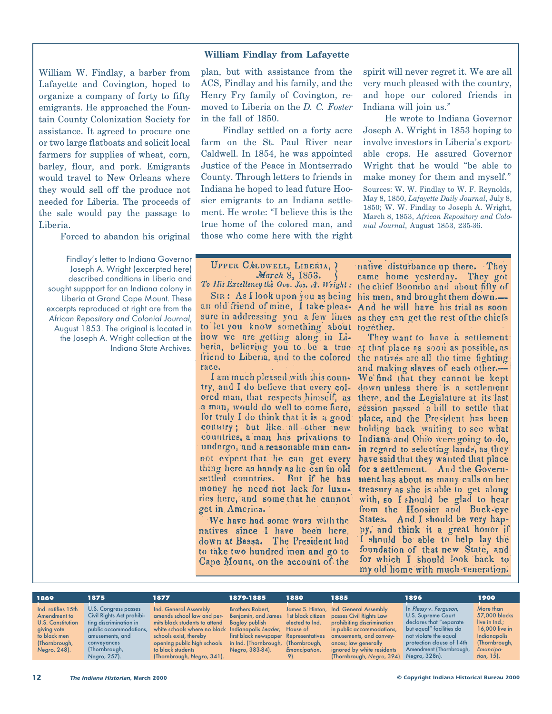#### **William Findlay from Lafayette**

William W. Findlay, a barber from Lafayette and Covington, hoped to organize a company of forty to fifty emigrants. He approached the Fountain County Colonization Society for assistance. It agreed to procure one or two large flatboats and solicit local farmers for supplies of wheat, corn, barley, flour, and pork. Emigrants would travel to New Orleans where they would sell off the produce not needed for Liberia. The proceeds of the sale would pay the passage to Liberia.

Forced to abandon his original

Findlay's letter to Indiana Governor Joseph A. Wright (excerpted here) described conditions in Liberia and sought suppport for an Indiana colony in Liberia at Grand Cape Mount. These excerpts reproduced at right are from the African Repository and Colonial Journal, August 1853. The original is located in the Joseph A. Wright collection at the Indiana State Archives.

plan, but with assistance from the ACS, Findlay and his family, and the Henry Fry family of Covington, removed to Liberia on the *D. C. Foster* in the fall of 1850.

Findlay settled on a forty acre farm on the St. Paul River near Caldwell. In 1854, he was appointed Justice of the Peace in Montserrado County. Through letters to friends in Indiana he hoped to lead future Hoosier emigrants to an Indiana settlement. He wrote: "I believe this is the true home of the colored man, and those who come here with the right spirit will never regret it. We are all very much pleased with the country, and hope our colored friends in Indiana will join us."

He wrote to Indiana Governor Joseph A. Wright in 1853 hoping to involve investors in Liberia's exportable crops. He assured Governor Wright that he would "be able to make money for them and myself." Sources: W. W. Findlay to W. F. Reynolds, May 8, 1850, *Lafayette Daily Journal*, July 8, 1850; W. W. Findlay to Joseph A. Wright, March 8, 1853, *African Repository and Colonial Journal*, August 1853, 235-36.

UPPER CALDWELL, LIBERIA, ? March 8, 1853. To His Excellency the Gov. Jos. A. Wright:

an old friend of mine, I take pleasto let you know something about together. how we are getting along in Liberia, believing you to be a true at that place as soon as possible, as friend to Liberia, and to the colored race.

I am much pleased with this country, and I do believe that every colored man, that respects himself, as a man, would do well to come here, for truly I do think that it is a good country; but like all other new countries, a man has privations to undergo, and a reasonable man cannot expect that he can get every thing here as handy as he can in old settled countries. But if he has money he need not lack for luxuries here, and some that he cannot get in America.

We have had some wars with the natives since I have been here, down at Bassa. The President had to take two hundred men and go to Cape Mount, on the account of the

native disturbance up there. They came home yesterday. They got the chief Boombo and about fifty of StR: As I look upon you as being his men, and brought them down.-And he will have his trial as soon sure in addressing you a few lines as they can get the rest of the chiefs

> They want to have a settlement the natives are all the time fighting and making slaves of each other. We find that they cannot be kept down unless there is a settlement. there, and the Legislature at its last session passed a bill to settle that place, and the President has been holding back waiting to see what Indiana and Ohio were going to do, in regard to selecting lands, as they have said that they wanted that place for a settlement. And the Government has about as many calls on her treasury as she is able to get along with, so I should be glad to hear from the Hoosier and Buck-eye States. And I should be very happy, and think it a great honor if I should be able to help lay the foundation of that new State, and for which I should look back to my old home with much veneration.

| 1869                     | 1875                      | 1877                                                       | 1879-1885                             | 1880            | 1885                                     | 1896                      | 1900            |
|--------------------------|---------------------------|------------------------------------------------------------|---------------------------------------|-----------------|------------------------------------------|---------------------------|-----------------|
| Ind. ratifies 15th       | U.S. Congress passes      | Ind. General Assembly                                      | <b>Brothers Robert.</b>               |                 | James S. Hinton, Ind. General Assembly   | In Plessy v. Ferguson,    | More than       |
| Amendment to             | Civil Rights Act prohibi- | amends school law and per-                                 | Benjamin, and James 1st black citizen |                 | passes Civil Rights Law                  | U.S. Supreme Court        | 57,000 blacks   |
| <b>U.S. Constitution</b> | ting discrimination in    | mits black students to attend                              | <b>Bagley publish</b>                 | elected to Ind. | prohibiting discrimination               | declares that "separate   | live in Ind.;   |
| giving vote              | public accommodations,    | white schools where no black Indianapolis Leader, House of |                                       |                 | in public accommodations,                | but equal" facilities do  | 16,000 live in  |
| to black men             | amusements, and           | schools exist, thereby                                     | first black newspaper Representatives |                 | amusements, and convey-                  | not violate the equal     | Indianapolis    |
| (Thornbrough,            | conveyances               | opening public high schools                                | in Ind. (Thornbrough, (Thornbrough,   |                 | ances; law generally                     | protection clause of 14th | (Thornbrough,   |
| Negro, 248).             | (Thornbrough,             | to black students                                          | Negro, 383-84).                       | Emancipation,   | ignored by white residents               | Amendment (Thornbrough,   | Emancipa-       |
|                          | Negro, 257).              | (Thornbrough, Negro, 341).                                 |                                       | 9).             | (Thornbrough, Negro, 394). Negro, 328n). |                           | $\frac{1}{5}$ . |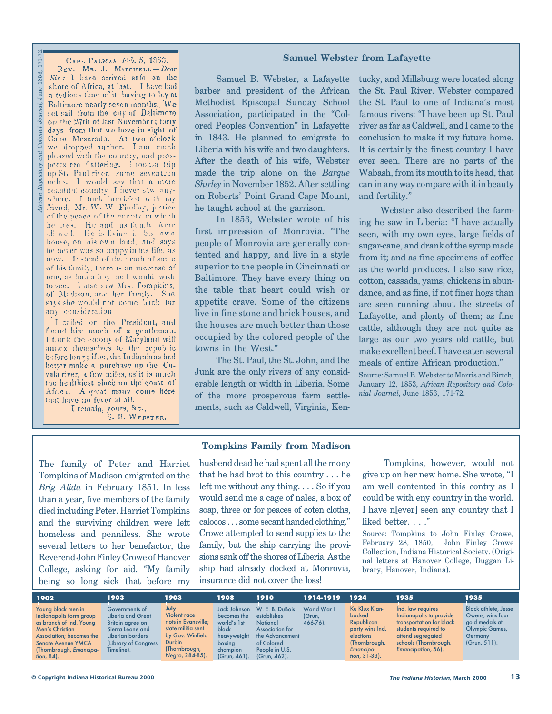*African Repository and Colonial Journal*, June 1853, 171-72.CAPE PALMAS, Feb. 5, 1853. REV. MR. J. MITCHELL-Dear Sir: I have arrived safe on the shore of Africa, at last. I have had a tedious time of it, having to lay at Baltimore nearly seven months. We  $nal,$ set sail from the city of Baltimore on the 27th of last November; forty days from that we hove in sight of Cape Mesurado. At two o'clock we dropped anchor. I am much pleased with the country, and prospects are flattering. I took a trip up St. Paul river, some seventeen miles. I would say that a more beautiful country I never saw any-<br>where. I took breakfast with my friend, Mr. W. W. Findlay, justice of the peace of the county in which he lives. He and his family were<br>all well. He is living in his own house, on his own land, and says he never was so happy in his life, as now. Instead of the death of some of his family, there is an increase of one, as fine a boy as I would wish to see. I also saw Mrs. Tompkins, of Madison, and her family. She says she would not come back for any consideration

 $\overline{171}$ 

1853,

I called on the President, and found him much of a gentleman. I think the colony of Maryland will annex themselves to the republic before long; if so, the Indianians had better make a purchase up the Cavala river, a few miles, as it is much the healthiest place on the coast of Africa. A great many come here that have no fever at all.

I remain, yours, &c., S. B. WEBSTER.

#### **Samuel Webster from Lafayette**

Samuel B. Webster, a Lafayette barber and president of the African Methodist Episcopal Sunday School Association, participated in the "Colored Peoples Convention" in Lafayette in 1843. He planned to emigrate to Liberia with his wife and two daughters. After the death of his wife, Webster made the trip alone on the *Barque Shirley* in November 1852. After settling on Roberts' Point Grand Cape Mount, he taught school at the garrison.

In 1853, Webster wrote of his first impression of Monrovia. "The people of Monrovia are generally contented and happy, and live in a style superior to the people in Cincinnati or Baltimore. They have every thing on the table that heart could wish or appetite crave. Some of the citizens live in fine stone and brick houses, and the houses are much better than those occupied by the colored people of the towns in the West."

The St. Paul, the St. John, and the Junk are the only rivers of any considerable length or width in Liberia. Some of the more prosperous farm settlements, such as Caldwell, Virginia, Kentucky, and Millsburg were located along the St. Paul River. Webster compared the St. Paul to one of Indiana's most famous rivers: "I have been up St. Paul river as far as Caldwell, and I came to the conclusion to make it my future home. It is certainly the finest country I have ever seen. There are no parts of the Wabash, from its mouth to its head, that can in any way compare with it in beauty and fertility."

Webster also described the farming he saw in Liberia: "I have actually seen, with my own eyes, large fields of sugar-cane, and drank of the syrup made from it; and as fine specimens of coffee as the world produces. I also saw rice, cotton, cassada, yams, chickens in abundance, and as fine, if not finer hogs than are seen running about the streets of Lafayette, and plenty of them; as fine cattle, although they are not quite as large as our two years old cattle, but make excellent beef. I have eaten several meals of entire African production."

Source: Samuel B. Webster to Morris and Birtch, January 12, 1853, *African Repository and Colonial Journal*, June 1853, 171-72.

#### **Tompkins Family from Madison**

The family of Peter and Harriet Tompkins of Madison emigrated on the *Brig Alida* in February 1851. In less than a year, five members of the family died including Peter. Harriet Tompkins and the surviving children were left homeless and penniless. She wrote several letters to her benefactor, the Reverend John Finley Crowe of Hanover College, asking for aid. "My family being so long sick that before my

husbend dead he had spent all the mony that he had brot to this country . . . he left me without any thing. . . . So if you would send me a cage of nales, a box of soap, three or for peaces of coten cloths, calocos . . . some secant handed clothing." Crowe attempted to send supplies to the family, but the ship carrying the provisions sank off the shores of Liberia. As the ship had already docked at Monrovia, insurance did not cover the loss!

Tompkins, however, would not give up on her new home. She wrote, "I am well contented in this contry as I could be with eny country in the world. I have n[ever] seen any country that I liked better. . . ."

Source: Tompkins to John Finley Crowe, February 28, 1850, John Finley Crowe Collection, Indiana Historical Society. (Original letters at Hanover College, Duggan Library, Hanover, Indiana).

| 1902                                                                                                                                                                                             | 1903                                                                                                                                         | 1903                                                                                                                                        | 1908                                                                                                               | 1910                                                                                                                                       | 1914-1919                             | 1924                                                                                                                   | 1935                                                                                                                                                                 | 1935                                                                                                                     |
|--------------------------------------------------------------------------------------------------------------------------------------------------------------------------------------------------|----------------------------------------------------------------------------------------------------------------------------------------------|---------------------------------------------------------------------------------------------------------------------------------------------|--------------------------------------------------------------------------------------------------------------------|--------------------------------------------------------------------------------------------------------------------------------------------|---------------------------------------|------------------------------------------------------------------------------------------------------------------------|----------------------------------------------------------------------------------------------------------------------------------------------------------------------|--------------------------------------------------------------------------------------------------------------------------|
| Young black men in<br>Indianapolis form group<br>as branch of Ind. Young<br>Men's Christian<br>Association: becomes the<br><b>Senate Avenue YMCA</b><br>(Thornbrough, Emancipa-<br>fion, $84$ ). | Governments of<br><b>Liberia and Great</b><br>Britain agree on<br>Sierra Leone and<br>Liberian borders<br>(Library of Congress<br>Timeline). | July<br>Violent race<br>riots in Evansville;<br>state militia sent<br>by Gov. Winfield<br><b>Durbin</b><br>(Thornbrough,<br>Negro, 284-85). | Jack Johnson<br>becomes the<br>world's 1st<br><b>black</b><br>heavyweight<br>boxina<br>champion<br>$(Grun, 461)$ . | W. E. B. DuBois<br>establishes<br><b>National</b><br>Association for<br>the Advancement<br>of Colored<br>People in U.S.<br>$(Grun, 462)$ . | World War I<br>(Grun.<br>$466 - 76$ . | Ku Klux Klan-<br>backed<br>Republican<br>party wins Ind.<br>elections<br>(Thornbrough,<br>Emancipa-<br>$fion, 31-33$ . | Ind. law reavires<br>Indianapolis to provide<br>transportation for black<br>students required to<br>attend segregated<br>schools (Thornbrough,<br>Emancipation, 56). | <b>Black athlete, Jesse</b><br>Owens, wins four<br>gold medals at<br><b>Olympic Games,</b><br>Germany<br>$(Grun, 511)$ . |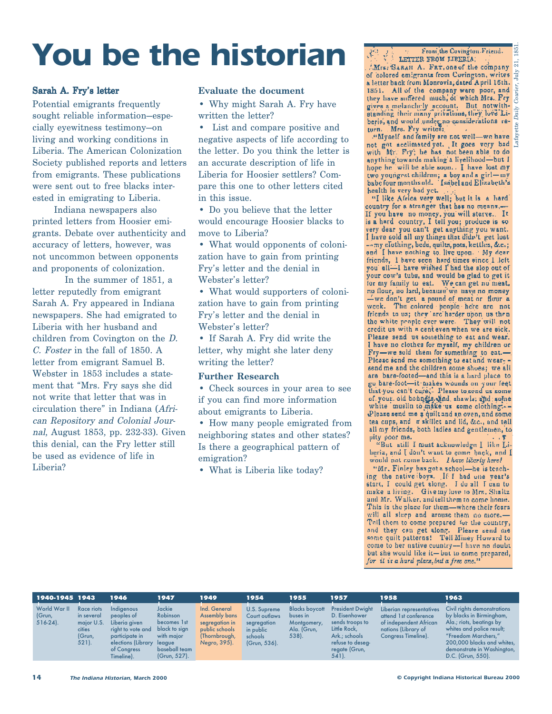### **You be the historian**

#### Sarah A. Fry's letter

Potential emigrants frequently sought reliable information—especially eyewitness testimony—on living and working conditions in Liberia. The American Colonization Society published reports and letters from emigrants. These publications were sent out to free blacks interested in emigrating to Liberia.

Indiana newspapers also printed letters from Hoosier emigrants. Debate over authenticity and accuracy of letters, however, was not uncommon between opponents and proponents of colonization.

In the summer of 1851, a letter reputedly from emigrant Sarah A. Fry appeared in Indiana newspapers. She had emigrated to Liberia with her husband and children from Covington on the D. C. Foster in the fall of 1850. A letter from emigrant Samuel B. Webster in 1853 includes a statement that "Mrs. Fry says she did not write that letter that was in circulation there" in Indiana (African Repository and Colonial Journal, August 1853, pp. 232-33). Given this denial, can the Fry letter still be used as evidence of life in Liberia?

#### **Evaluate the document**

• Why might Sarah A. Fry have written the letter?

• List and compare positive and negative aspects of life according to the letter. Do you think the letter is an accurate description of life in Liberia for Hoosier settlers? Compare this one to other letters cited in this issue.

• Do you believe that the letter would encourage Hoosier blacks to move to Liberia?

• What would opponents of colonization have to gain from printing Fry's letter and the denial in Webster's letter?

• What would supporters of colonization have to gain from printing Fry's letter and the denial in Webster's letter?

• If Sarah A. Fry did write the letter, why might she later deny writing the letter?

#### **Further Research**

• Check sources in your area to see if you can find more information about emigrants to Liberia.

• How many people emigrated from neighboring states and other states? Is there a geographical pattern of emigration?

• What is Liberia like today?

From the Covington Friend. LETTER FROM JIRERIA: Mrs. SARAH A. FRY, one of the company

 $\frac{1}{2}$  colored emigrants from Covington, writes  $\frac{1}{2}$ a letter back from Monrovia, dated April 16th. 1851. All of the company were poor, and they have suffered much, of which Mrs. Fry they have suffered much, of which Mrs. Fry  $\frac{3}{5}$ <br>gives a melanchrily account. But notwith-<br>standing their many privations, they love Li-<br>beria, and would under no considerations re-<br>turn. Mrs. Fry writes:

"Myself and family are not well-we have with Mr. Fry; he has not been able to do anything towards making a livelihood-but I hope he will be able soon. I have lost my two youngest children; a boy and a girl-my<br>babe four months old. Isabel and Elizabeth's health is very had yet.

"I like Africa very well; but it is a hard country for a stranger that has no means.-Expositor in the analysis of the set of the set of the set of the set of the set of the set of the set of the set of the set of the set of the set of the set of the set of the set of the set of the set of the set of the se --my clothing, beds, quilts, pots, kettles, &c.; and I have nothing to live upon. My dear friends, I have seen hard times since I left you all-I have wished I had the slop out of your cow's tubs, and would be glad to get itfor my family to eat. We can get no meat, no flour, no lard, because we have no money -we don't get a pound of meat or flour a week. The colored people here are not friends to us; they are harder upon us then the white people ever were. They will not credit us with a cent even when we are sick. Please send us something to eat and wear. I have no clothes for myself, my children or Fry-we sold them for something to eat.-Please send me something to eat and wearsend me and the children some shoes; we all are bare-footed-and this is a hard place to go bare-foot-it-makes wounds on your feet that you can't cure.' Please to send us some of your old bonneis and shawls; and some white muslin to make us some clothing :--Please send me a quilt and an oven, and some<br>tea cups, and  $\pi$  skillet and lid, &c., and tell all my friends, both ladies and gentlemen, to pity poor me.

"But still I must acknowledge I like Liheria, and I don't want to come back, and I would not come back. I have liberty here!

"Mr. Finley has got a school-he is teaching the native boys. If I had one year's start, I could get along. I do all I can to make a living. Give my love to Mrs. Shaltz and Mr. Walker, and tell them to come home. This is the place for them-where their fears will all sleep and arouse them no more.-Tell them to come prepared for the country, and they can get along. Please send me some quilt patterns! Tell Miney Howard to come to her native country-I have no doubt but she would like it-but to come prepared, for it is a hard place, but a free one.'

|                                       | 1940-1945 1943                                                                | 1946                                                                                                                                | 1947                                                                                                        | 1949                                                                                               | 1954                                                                                 | 1955                                                                        | 1957                                                                                                                                          | 1958                                                                                                                      | 1963                                                                                                                                                                                                                     |
|---------------------------------------|-------------------------------------------------------------------------------|-------------------------------------------------------------------------------------------------------------------------------------|-------------------------------------------------------------------------------------------------------------|----------------------------------------------------------------------------------------------------|--------------------------------------------------------------------------------------|-----------------------------------------------------------------------------|-----------------------------------------------------------------------------------------------------------------------------------------------|---------------------------------------------------------------------------------------------------------------------------|--------------------------------------------------------------------------------------------------------------------------------------------------------------------------------------------------------------------------|
| World War II<br>(Grun,<br>$516-24$ ). | Race riots<br>in several<br>major U.S.<br><b>cities</b><br>(Grun,<br>$521$ ). | Indiaenous<br>peoples of<br>Liberia given<br>right to vote and<br>participate in<br>elections (Library<br>of Congress<br>Timeline). | Jackie<br>Robinson<br>becomes 1st<br>black to sign<br>with major<br>league<br>baseball team<br>(Grun, 527). | Ind. General<br>Assembly bans<br>segregation in<br>public schools<br>(Thornbrough,<br>Negro, 395). | U.S. Supreme<br>Court outlaws<br>segregation<br>in public<br>schools<br>(Grun, 536). | <b>Blacks boycott</b><br>buses in<br>Montgomery,<br>Ala. (Grun,<br>$538$ ). | <b>President Dwight</b><br>D. Eisenhower<br>sends troops to<br>Little Rock,<br>Ark.; schools<br>refuse to deseg-<br>regate (Grun,<br>$541$ ). | Liberian representatives<br>attend 1st conference<br>of independent African<br>nations (Library of<br>Congress Timeline). | Civil rights demonstrations<br>by blacks in Birmingham,<br>Ala.; riots, beatings by<br>whites and police result;<br>"Freedom Marchers."<br>200,000 blacks and whites,<br>demonstrate in Washington,<br>D.C. (Grun, 550). |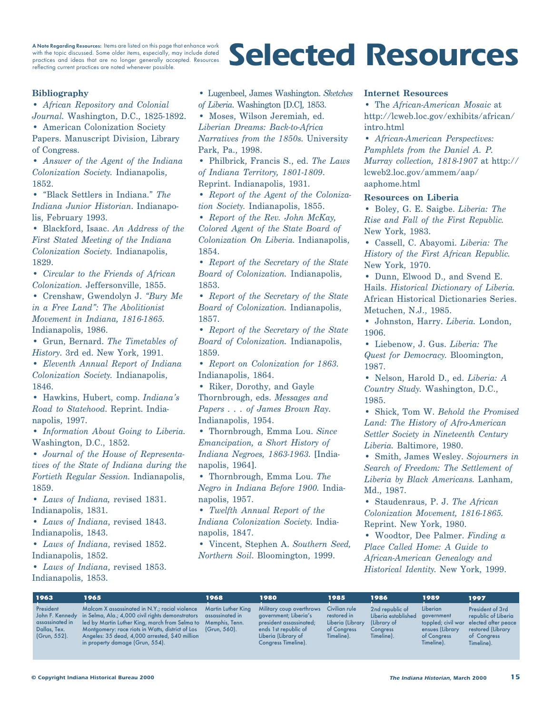with the topic discussed. Some older items, especially, may include dated practices and ideas that are no longer generally accepted. Resources reflecting current practices are noted whenever possible.

### A Note Regarding Resources: Items are listed on this page that enhance work<br>with the topic discussed. Some older items, especially, may include dated<br>practices and ideas that are no longer generally accepted. Resources<br>**Se**

#### **Bibliography**

• *African Repository and Colonial Journal.* Washington, D.C., 1825-1892.

• American Colonization Society Papers. Manuscript Division, Library of Congress.

• *Answer of the Agent of the Indiana Colonization Society.* Indianapolis, 1852.

• "Black Settlers in Indiana." *The Indiana Junior Historian*. Indianapolis, February 1993.

• Blackford, Isaac. *An Address of the First Stated Meeting of the Indiana Colonization Society.* Indianapolis, 1829.

• *Circular to the Friends of African Colonization.* Jeffersonville, 1855.

• Crenshaw, Gwendolyn J. *"Bury Me in a Free Land": The Abolitionist Movement in Indiana, 1816-1865.* Indianapolis, 1986.

• Grun, Bernard. *The Timetables of History*. 3rd ed. New York, 1991.

• *Eleventh Annual Report of Indiana Colonization Society.* Indianapolis, 1846.

• Hawkins, Hubert, comp. *Indiana's Road to Statehood*. Reprint. Indianapolis, 1997.

• *Information About Going to Liberia.* Washington, D.C., 1852.

• *Journal of the House of Representatives of the State of Indiana during the Fortieth Regular Session.* Indianapolis, 1859.

• *Laws of Indiana,* revised 1831. Indianapolis, 1831.

• *Laws of Indiana*, revised 1843. Indianapolis, 1843.

• *Laws of Indiana*, revised 1852. Indianapolis, 1852.

• *Laws of Indiana*, revised 1853. Indianapolis, 1853.

• Lugenbeel, James Washington. *Sketches of Liberia*. Washington [D.C], 1853.

• Moses, Wilson Jeremiah, ed. *Liberian Dreams: Back-to-Africa Narratives from the 1850s.* University Park, Pa., 1998.

• Philbrick, Francis S., ed. *The Laws of Indiana Territory, 1801-1809*. Reprint. Indianapolis, 1931.

• *Report of the Agent of the Colonization Society.* Indianapolis, 1855.

• *Report of the Rev. John McKay, Colored Agent of the State Board of Colonization On Liberia.* Indianapolis, 1854.

• *Report of the Secretary of the State Board of Colonization.* Indianapolis, 1853.

• *Report of the Secretary of the State Board of Colonization.* Indianapolis, 1857.

• *Report of the Secretary of the State Board of Colonization.* Indianapolis, 1859.

• *Report on Colonization for 1863.* Indianapolis, 1864.

• Riker, Dorothy, and Gayle Thornbrough, eds. *Messages and Papers . . . of James Brown Ray*. Indianapolis, 1954.

• Thornbrough, Emma Lou. *Since Emancipation, a Short History of Indiana Negroes, 1863-1963.* [Indianapolis, 1964].

• Thornbrough, Emma Lou. *The Negro in Indiana Before 1900.* Indianapolis, 1957.

• *Twelfth Annual Report of the Indiana Colonization Society.* Indianapolis, 1847.

• Vincent, Stephen A. *Southern Seed, Northern Soil*. Bloomington, 1999.

#### **Internet Resources**

• The *African-American Mosaic* at http://lcweb.loc.gov/exhibits/african/ intro.html

• *African-American Perspectives: Pamphlets from the Daniel A. P. Murray collection, 1818-1907* at http:// lcweb2.loc.gov/ammem/aap/ aaphome.html

#### **Resources on Liberia**

• Boley, G. E. Saigbe. *Liberia: The Rise and Fall of the First Republic.* New York, 1983.

• Cassell, C. Abayomi. *Liberia: The History of the First African Republic.* New York, 1970.

• Dunn, Elwood D., and Svend E. Hails. *Historical Dictionary of Liberia.* African Historical Dictionaries Series. Metuchen, N.J., 1985.

• Johnston, Harry. *Liberia.* London, 1906.

• Liebenow, J. Gus. *Liberia: The Quest for Democracy.* Bloomington, 1987.

• Nelson, Harold D., ed. *Liberia: A Country Study.* Washington, D.C., 1985.

• Shick, Tom W. *Behold the Promised Land: The History of Afro-American Settler Society in Nineteenth Century Liberia.* Baltimore, 1980.

• Smith, James Wesley. *Sojourners in Search of Freedom: The Settlement of Liberia by Black Americans.* Lanham, Md., 1987.

• Staudenraus, P. J. *The African Colonization Movement, 1816-1865.* Reprint. New York, 1980.

• Woodtor, Dee Palmer. *Finding a Place Called Home: A Guide to African-American Genealogy and Historical Identity.* New York, 1999.

| 1963      |                                                 | 1965                                                                                                                                                                                                                                                                                                                                                            | 1968         | 1980                                                                                                                                               | 1985                                                                          | 1986                                                                            | 1989                                                                   | 1997                                                                                                                                |
|-----------|-------------------------------------------------|-----------------------------------------------------------------------------------------------------------------------------------------------------------------------------------------------------------------------------------------------------------------------------------------------------------------------------------------------------------------|--------------|----------------------------------------------------------------------------------------------------------------------------------------------------|-------------------------------------------------------------------------------|---------------------------------------------------------------------------------|------------------------------------------------------------------------|-------------------------------------------------------------------------------------------------------------------------------------|
| President | assassinated in<br>Dallas, Tex.<br>(Grun, 552). | Malcom X assassinated in N.Y.; racial violence Martin Luther King<br>John F. Kennedy in Selma, Ala.; 4,000 civil rights demonstrators assassinated in<br>led by Martin Luther King, march from Selma to Memphis, Tenn.<br>Montgomery: race riots in Watts, district of Los<br>Angeles: 35 dead, 4,000 arrested, \$40 million<br>in property damage (Grun, 554). | (Grun, 560). | Military coup overthrows<br>government; Liberia's<br>president assassinated;<br>ends 1st republic of<br>Liberia (Library of<br>Congress Timeline). | Civilian rule<br>restored in<br>Liberia (Library<br>of Congress<br>Timeline). | 2nd republic of<br>Liberia established<br>(Library of<br>Congress<br>Timeline). | Liberian<br>government<br>ensues (Library<br>of Congress<br>Timeline). | President of 3rd<br>republic of Liberia<br>toppled; civil war elected after peace<br>restored (Library<br>of Congress<br>Timeline). |